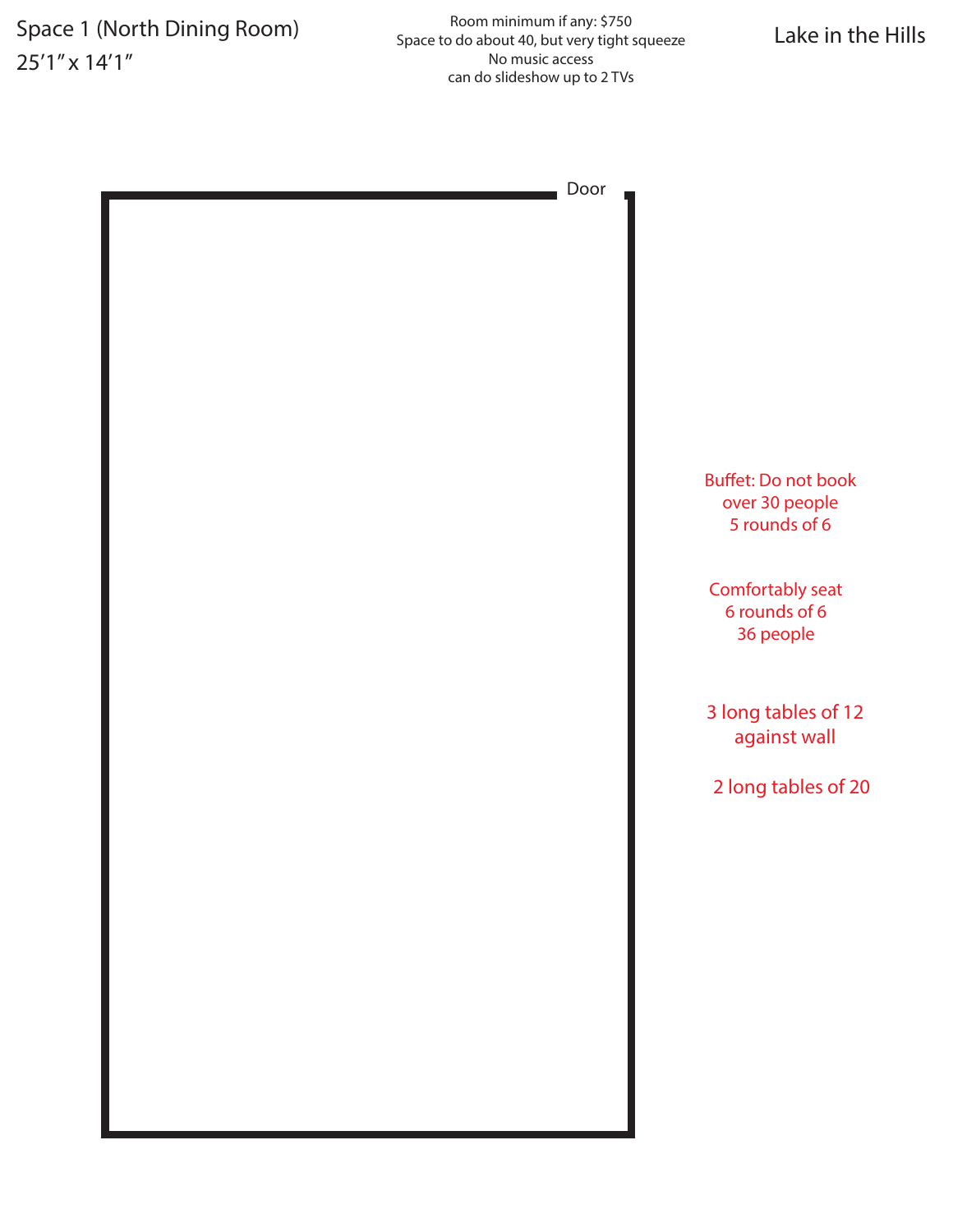# 25'1" x 14'1"

Space 1 (North Dining Room)<br>Space to do about 40, but very tight squeeze Lake in the Hills Room minimum if any: \$750 Space to do about 40, but very tight squeeze No music access can do slideshow up to 2 TVs

| <b>Buffet: Do not book</b><br>over 30 people<br>5 rounds of 6 |  |
|---------------------------------------------------------------|--|
| Comfortably seat<br>6 rounds of 6<br>36 people                |  |
| 3 long tables of 12<br>against wall                           |  |
| 2 long tables of 20                                           |  |
|                                                               |  |
|                                                               |  |
|                                                               |  |
|                                                               |  |
|                                                               |  |
|                                                               |  |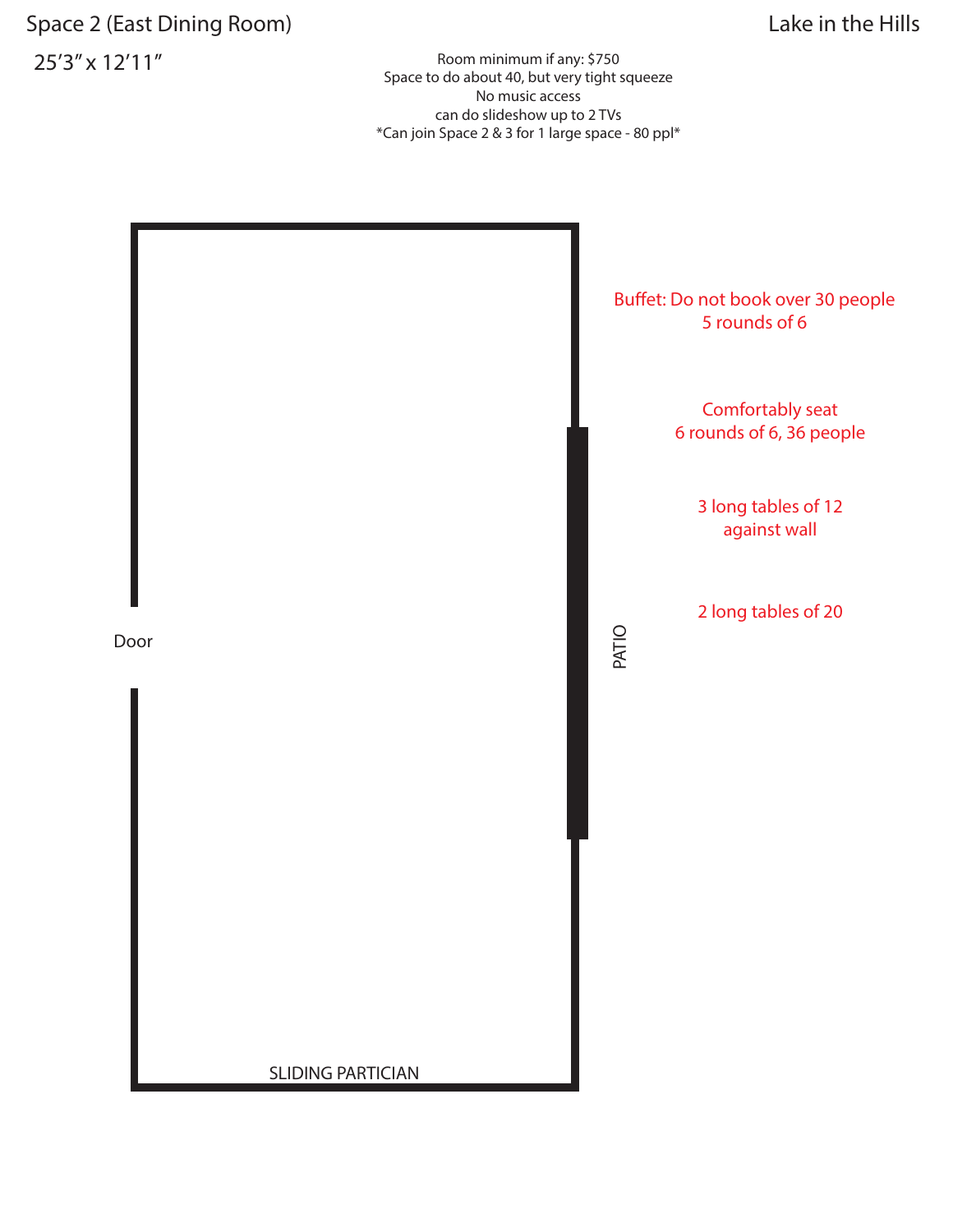## Space 2 (East Dining Room) Space 2 (East Dining Room) Lake in the Hills 25'3" x 12'11" Room minimum if any: \$750

Space to do about 40, but very tight squeeze No music access can do slideshow up to 2 TVs \*Can join Space 2 & 3 for 1 large space - 80 ppl\*

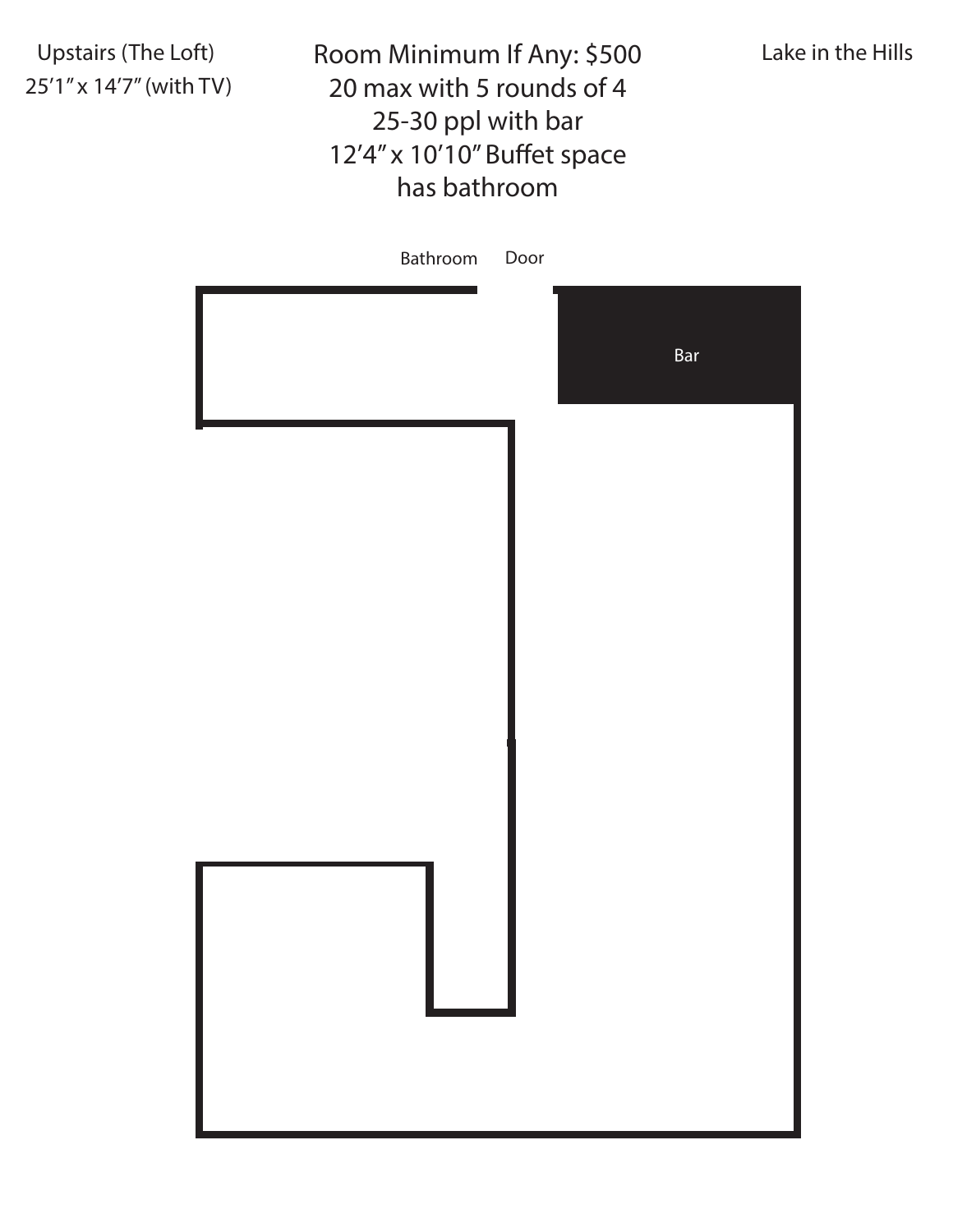25'1" x 14'7" (with TV)

Upstairs (The Loft) **Exame And Any: 1988** Lake in the Hills 20 max with 5 rounds of 4 25-30 ppl with bar 12'4" x 10'10" Buffet space has bathroom

| Bathroom Door |     |
|---------------|-----|
|               | Bar |
|               |     |
|               |     |
|               |     |
|               |     |
|               |     |